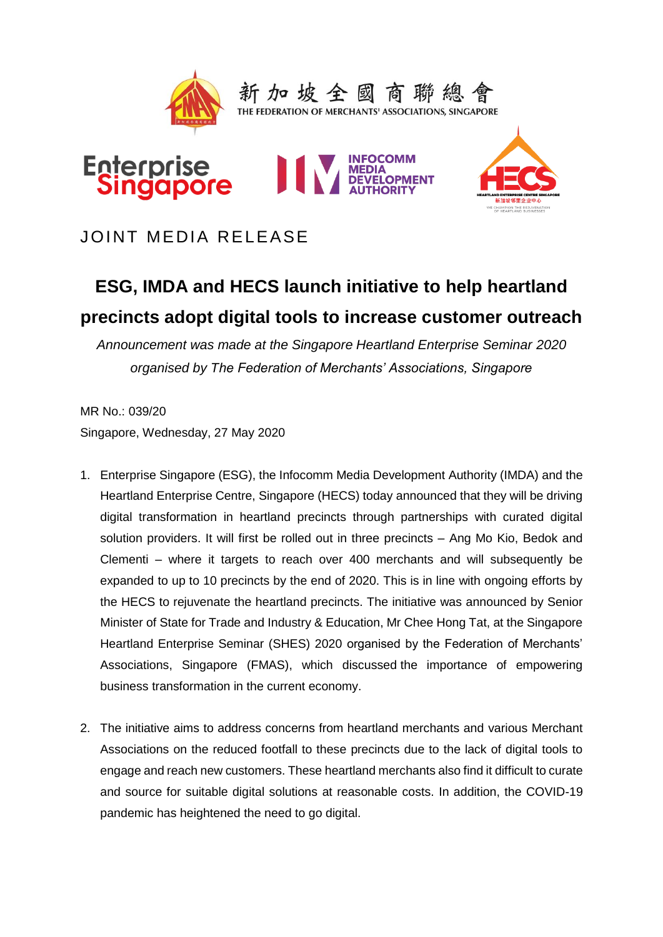

JOINT MEDIA RELEASE

# **ESG, IMDA and HECS launch initiative to help heartland precincts adopt digital tools to increase customer outreach**

*Announcement was made at the Singapore Heartland Enterprise Seminar 2020 organised by The Federation of Merchants' Associations, Singapore*

MR No.: 039/20 Singapore, Wednesday, 27 May 2020

- 1. Enterprise Singapore (ESG), the Infocomm Media Development Authority (IMDA) and the Heartland Enterprise Centre, Singapore (HECS) today announced that they will be driving digital transformation in heartland precincts through partnerships with curated digital solution providers. It will first be rolled out in three precincts – Ang Mo Kio, Bedok and Clementi – where it targets to reach over 400 merchants and will subsequently be expanded to up to 10 precincts by the end of 2020. This is in line with ongoing efforts by the HECS to rejuvenate the heartland precincts. The initiative was announced by Senior Minister of State for Trade and Industry & Education, Mr Chee Hong Tat, at the Singapore Heartland Enterprise Seminar (SHES) 2020 organised by the Federation of Merchants' Associations, Singapore (FMAS), which discussed the importance of empowering business transformation in the current economy.
- 2. The initiative aims to address concerns from heartland merchants and various Merchant Associations on the reduced footfall to these precincts due to the lack of digital tools to engage and reach new customers. These heartland merchants also find it difficult to curate and source for suitable digital solutions at reasonable costs. In addition, the COVID-19 pandemic has heightened the need to go digital.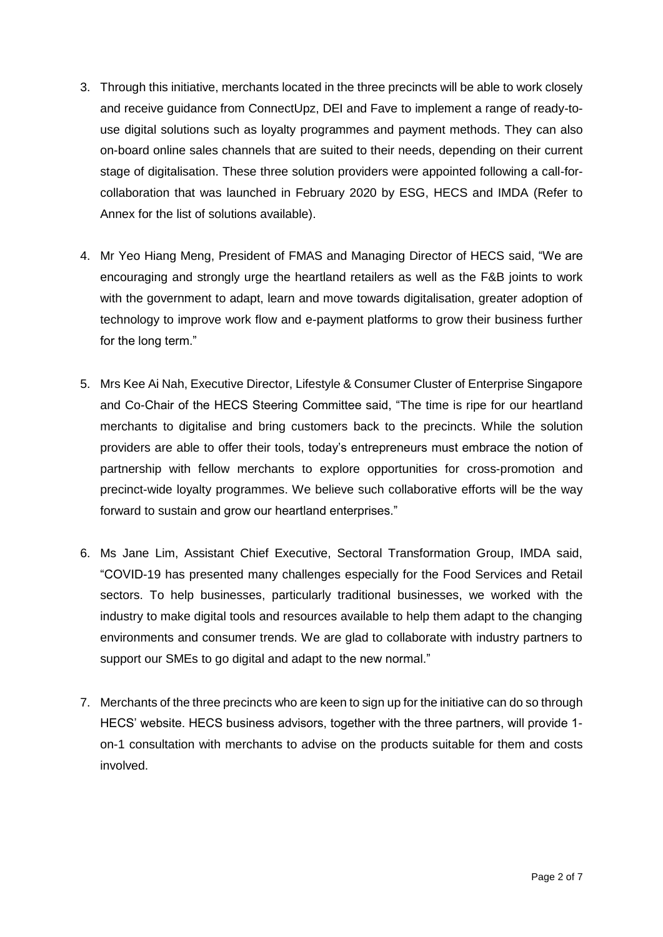- 3. Through this initiative, merchants located in the three precincts will be able to work closely and receive guidance from ConnectUpz, DEI and Fave to implement a range of ready-touse digital solutions such as loyalty programmes and payment methods. They can also on-board online sales channels that are suited to their needs, depending on their current stage of digitalisation. These three solution providers were appointed following a call-forcollaboration that was launched in February 2020 by ESG, HECS and IMDA (Refer to Annex for the list of solutions available).
- 4. Mr Yeo Hiang Meng, President of FMAS and Managing Director of HECS said, "We are encouraging and strongly urge the heartland retailers as well as the F&B joints to work with the government to adapt, learn and move towards digitalisation, greater adoption of technology to improve work flow and e-payment platforms to grow their business further for the long term."
- 5. Mrs Kee Ai Nah, Executive Director, Lifestyle & Consumer Cluster of Enterprise Singapore and Co-Chair of the HECS Steering Committee said, "The time is ripe for our heartland merchants to digitalise and bring customers back to the precincts. While the solution providers are able to offer their tools, today's entrepreneurs must embrace the notion of partnership with fellow merchants to explore opportunities for cross-promotion and precinct-wide loyalty programmes. We believe such collaborative efforts will be the way forward to sustain and grow our heartland enterprises."
- 6. Ms Jane Lim, Assistant Chief Executive, Sectoral Transformation Group, IMDA said, "COVID-19 has presented many challenges especially for the Food Services and Retail sectors. To help businesses, particularly traditional businesses, we worked with the industry to make digital tools and resources available to help them adapt to the changing environments and consumer trends. We are glad to collaborate with industry partners to support our SMEs to go digital and adapt to the new normal."
- 7. Merchants of the three precincts who are keen to sign up for the initiative can do so through HECS' website. HECS business advisors, together with the three partners, will provide 1 on-1 consultation with merchants to advise on the products suitable for them and costs involved.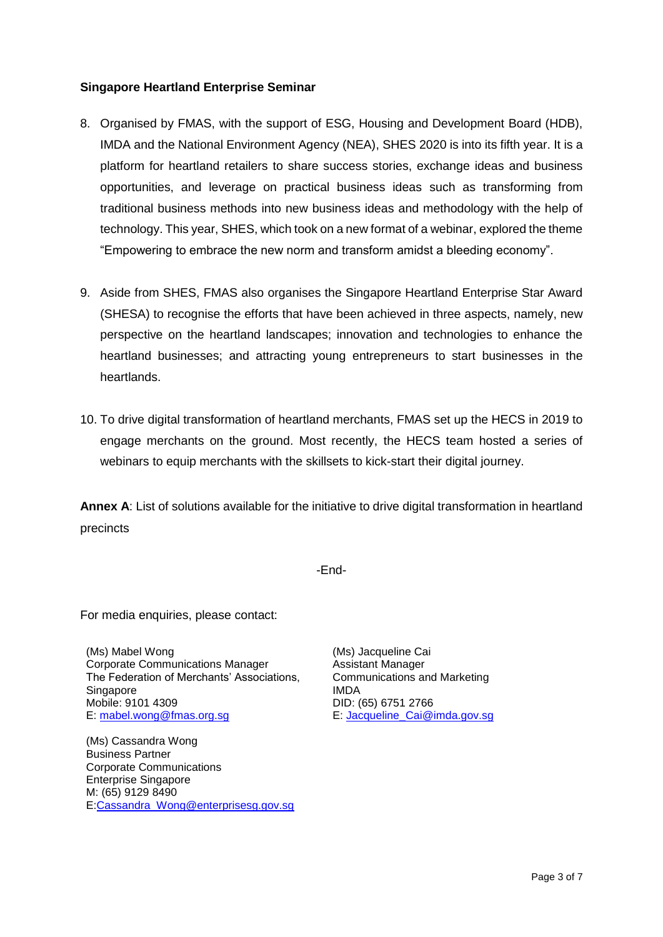# **Singapore Heartland Enterprise Seminar**

- 8. Organised by FMAS, with the support of ESG, Housing and Development Board (HDB), IMDA and the National Environment Agency (NEA), SHES 2020 is into its fifth year. It is a platform for heartland retailers to share success stories, exchange ideas and business opportunities, and leverage on practical business ideas such as transforming from traditional business methods into new business ideas and methodology with the help of technology. This year, SHES, which took on a new format of a webinar, explored the theme "Empowering to embrace the new norm and transform amidst a bleeding economy".
- 9. Aside from SHES, FMAS also organises the Singapore Heartland Enterprise Star Award (SHESA) to recognise the efforts that have been achieved in three aspects, namely, new perspective on the heartland landscapes; innovation and technologies to enhance the heartland businesses; and attracting young entrepreneurs to start businesses in the heartlands.
- 10. To drive digital transformation of heartland merchants, FMAS set up the HECS in 2019 to engage merchants on the ground. Most recently, the HECS team hosted a series of webinars to equip merchants with the skillsets to kick-start their digital journey.

**Annex A**: List of solutions available for the initiative to drive digital transformation in heartland precincts

-End-

For media enquiries, please contact:

(Ms) Mabel Wong Corporate Communications Manager The Federation of Merchants' Associations, **Singapore** Mobile: 9101 4309 E: [mabel.wong@fmas.org.sg](mailto:mabel.wong@fmas.org.sg)

(Ms) Cassandra Wong Business Partner Corporate Communications Enterprise Singapore M: (65) 9129 8490 E[:Cassandra\\_Wong@enterprisesg.gov.sg](mailto:Cassandra_Wong@enterprisesg.gov.sg) (Ms) Jacqueline Cai Assistant Manager Communications and Marketing IMDA DID: (65) 6751 2766 E: [Jacqueline\\_Cai@imda.gov.sg](mailto:Jacqueline_Cai@imda.gov.sg)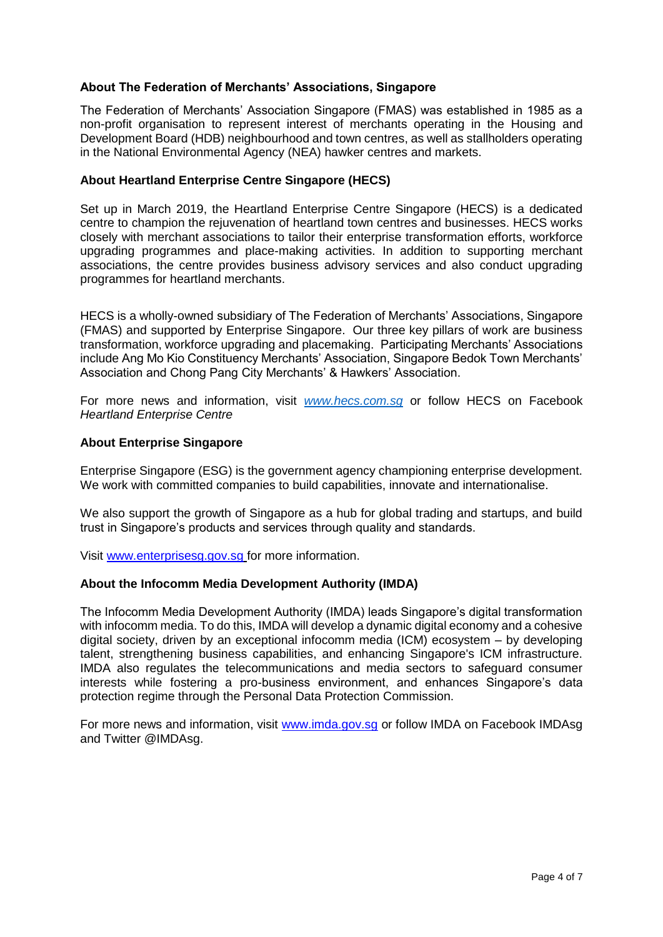# **About The Federation of Merchants' Associations, Singapore**

The Federation of Merchants' Association Singapore (FMAS) was established in 1985 as a non-profit organisation to represent interest of merchants operating in the Housing and Development Board (HDB) neighbourhood and town centres, as well as stallholders operating in the National Environmental Agency (NEA) hawker centres and markets.

## **About Heartland Enterprise Centre Singapore (HECS)**

Set up in March 2019, the Heartland Enterprise Centre Singapore (HECS) is a dedicated centre to champion the rejuvenation of heartland town centres and businesses. HECS works closely with merchant associations to tailor their enterprise transformation efforts, workforce upgrading programmes and place-making activities. In addition to supporting merchant associations, the centre provides business advisory services and also conduct upgrading programmes for heartland merchants.

HECS is a wholly-owned subsidiary of The Federation of Merchants' Associations, Singapore (FMAS) and supported by Enterprise Singapore. Our three key pillars of work are business transformation, workforce upgrading and placemaking. Participating Merchants' Associations include Ang Mo Kio Constituency Merchants' Association, Singapore Bedok Town Merchants' Association and Chong Pang City Merchants' & Hawkers' Association.

For more news and information, visit *[www.hecs.com.sg](http://www.hecs.com.sg/)* or follow HECS on Facebook *Heartland Enterprise Centre*

## **About Enterprise Singapore**

Enterprise Singapore (ESG) is the government agency championing enterprise development. We work with committed companies to build capabilities, innovate and internationalise.

We also support the growth of Singapore as a hub for global trading and startups, and build trust in Singapore's products and services through quality and standards.

Visit [www.enterprisesg.gov.sg](http://www.enterprisesg.gov.sg/) for more information.

### **About the Infocomm Media Development Authority (IMDA)**

The Infocomm Media Development Authority (IMDA) leads Singapore's digital transformation with infocomm media. To do this, IMDA will develop a dynamic digital economy and a cohesive digital society, driven by an exceptional infocomm media (ICM) ecosystem – by developing talent, strengthening business capabilities, and enhancing Singapore's ICM infrastructure. IMDA also regulates the telecommunications and media sectors to safeguard consumer interests while fostering a pro-business environment, and enhances Singapore's data protection regime through the Personal Data Protection Commission.

For more news and information, visit [www.imda.gov.sg](http://www.imda.gov.sg/) or follow IMDA on Facebook IMDAsg and Twitter @IMDAsg.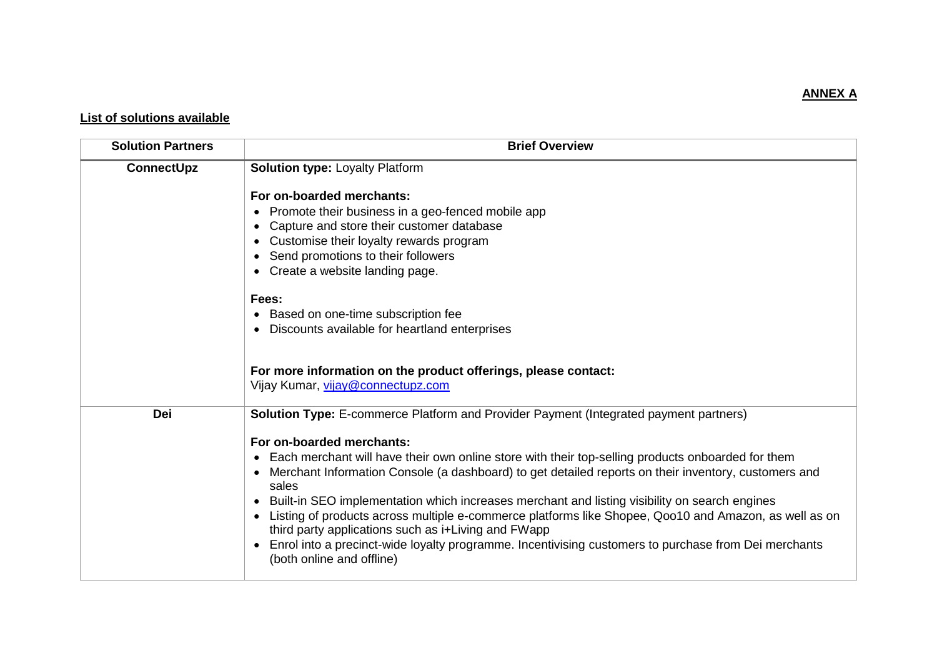# **ANNEX A**

# **List of solutions available**

| <b>Solution Partners</b> | <b>Brief Overview</b>                                                                                                                                                                                                                                                                                                                                                                                                                                                                                                                                                                                                                                     |
|--------------------------|-----------------------------------------------------------------------------------------------------------------------------------------------------------------------------------------------------------------------------------------------------------------------------------------------------------------------------------------------------------------------------------------------------------------------------------------------------------------------------------------------------------------------------------------------------------------------------------------------------------------------------------------------------------|
| <b>ConnectUpz</b>        | <b>Solution type: Loyalty Platform</b>                                                                                                                                                                                                                                                                                                                                                                                                                                                                                                                                                                                                                    |
|                          | For on-boarded merchants:<br>• Promote their business in a geo-fenced mobile app<br>• Capture and store their customer database<br>• Customise their loyalty rewards program<br>Send promotions to their followers<br>$\bullet$<br>• Create a website landing page.<br>Fees:<br>• Based on one-time subscription fee<br>Discounts available for heartland enterprises<br>For more information on the product offerings, please contact:                                                                                                                                                                                                                   |
|                          | Vijay Kumar, vijay@connectupz.com                                                                                                                                                                                                                                                                                                                                                                                                                                                                                                                                                                                                                         |
| Dei                      | <b>Solution Type:</b> E-commerce Platform and Provider Payment (Integrated payment partners)                                                                                                                                                                                                                                                                                                                                                                                                                                                                                                                                                              |
|                          | For on-boarded merchants:<br>• Each merchant will have their own online store with their top-selling products onboarded for them<br>Merchant Information Console (a dashboard) to get detailed reports on their inventory, customers and<br>sales<br>• Built-in SEO implementation which increases merchant and listing visibility on search engines<br>Listing of products across multiple e-commerce platforms like Shopee, Qoo10 and Amazon, as well as on<br>third party applications such as i+Living and FWapp<br>Enrol into a precinct-wide loyalty programme. Incentivising customers to purchase from Dei merchants<br>(both online and offline) |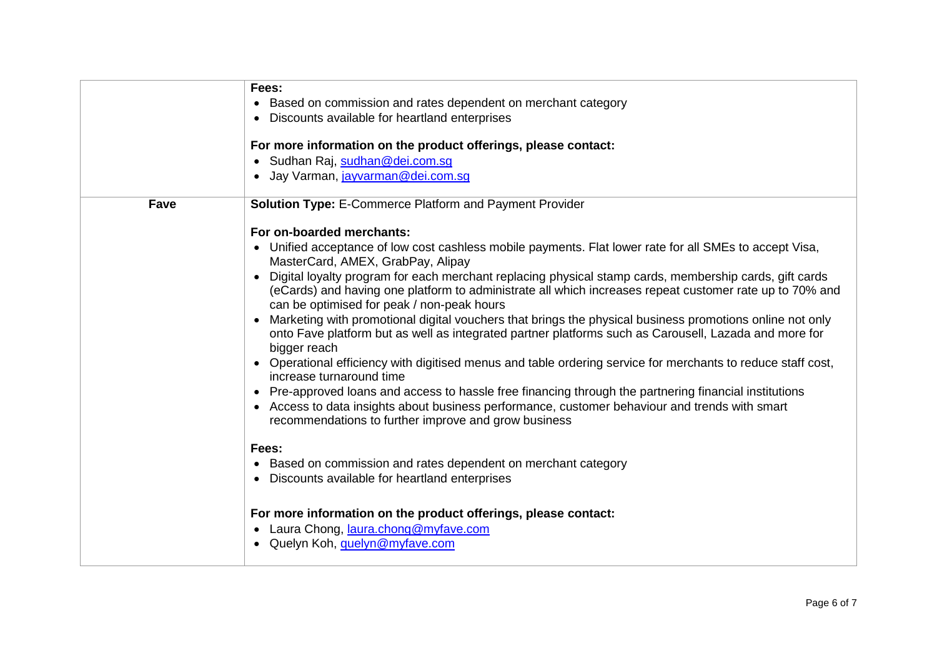|             | Fees:                                                                                                      |
|-------------|------------------------------------------------------------------------------------------------------------|
|             | • Based on commission and rates dependent on merchant category                                             |
|             | Discounts available for heartland enterprises                                                              |
|             |                                                                                                            |
|             | For more information on the product offerings, please contact:                                             |
|             | · Sudhan Raj, sudhan@dei.com.sg                                                                            |
|             | · Jay Varman, jayvarman@dei.com.sg                                                                         |
|             |                                                                                                            |
| <b>Fave</b> | <b>Solution Type: E-Commerce Platform and Payment Provider</b>                                             |
|             |                                                                                                            |
|             | For on-boarded merchants:                                                                                  |
|             | • Unified acceptance of low cost cashless mobile payments. Flat lower rate for all SMEs to accept Visa,    |
|             | MasterCard, AMEX, GrabPay, Alipay                                                                          |
|             | Digital loyalty program for each merchant replacing physical stamp cards, membership cards, gift cards     |
|             | (eCards) and having one platform to administrate all which increases repeat customer rate up to 70% and    |
|             | can be optimised for peak / non-peak hours                                                                 |
|             | Marketing with promotional digital vouchers that brings the physical business promotions online not only   |
|             | onto Fave platform but as well as integrated partner platforms such as Carousell, Lazada and more for      |
|             | bigger reach                                                                                               |
|             | Operational efficiency with digitised menus and table ordering service for merchants to reduce staff cost, |
|             | increase turnaround time                                                                                   |
|             | Pre-approved loans and access to hassle free financing through the partnering financial institutions       |
|             | Access to data insights about business performance, customer behaviour and trends with smart               |
|             | recommendations to further improve and grow business                                                       |
|             |                                                                                                            |
|             | Fees:                                                                                                      |
|             | • Based on commission and rates dependent on merchant category                                             |
|             | Discounts available for heartland enterprises                                                              |
|             |                                                                                                            |
|             | For more information on the product offerings, please contact:                                             |
|             | • Laura Chong, laura.chong@myfave.com                                                                      |
|             | Quelyn Koh, quelyn@myfave.com                                                                              |
|             |                                                                                                            |